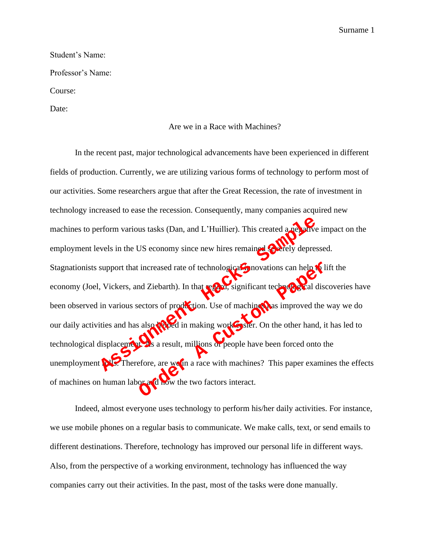## Student's Name:

Professor's Name:

Course:

Date:

## Are we in a Race with Machines?

In the recent past, major technological advancements have been experienced in different fields of production. Currently, we are utilizing various forms of technology to perform most of our activities. Some researchers argue that after the Great Recession, the rate of investment in technology increased to ease the recession. Consequently, many companies acquired new machines to perform various tasks (Dan, and L'Huillier). This created a negative impact on the employment levels in the US economy since new hires remained severely depressed. Stagnationists support that increased rate of technological innovations can help to lift the economy (Joel, Vickers, and Ziebarth). In that regard, significant technological discoveries have been observed in various sectors of production. Use of machines has improved the way we do our daily activities and has also helped in making work easier. On the other hand, it has led to technological displacement. As a result, millions of people have been forced onto the unemployment **rolls.** Therefore, are ween a race with machines? This paper examines the effects of machines on human labor and how the two factors interact. From various tasks (Dan, and L'Huillier). This created a new version various tasks (Dan, and L'Huillier). This created a new version version of the support that increased rate of technological movations can help to a vecto increased rate of technological movations can help **of** independent and Ziebarth). In that regard, significant technological discorder ectors of production. Use of machine that improved the values are sult, millions of peo

Indeed, almost everyone uses technology to perform his/her daily activities. For instance, we use mobile phones on a regular basis to communicate. We make calls, text, or send emails to different destinations. Therefore, technology has improved our personal life in different ways. Also, from the perspective of a working environment, technology has influenced the way companies carry out their activities. In the past, most of the tasks were done manually.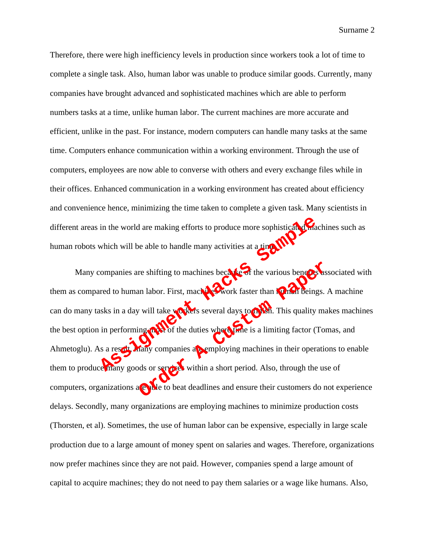Therefore, there were high inefficiency levels in production since workers took a lot of time to complete a single task. Also, human labor was unable to produce similar goods. Currently, many companies have brought advanced and sophisticated machines which are able to perform numbers tasks at a time, unlike human labor. The current machines are more accurate and efficient, unlike in the past. For instance, modern computers can handle many tasks at the same time. Computers enhance communication within a working environment. Through the use of computers, employees are now able to converse with others and every exchange files while in their offices. Enhanced communication in a working environment has created about efficiency and convenience hence, minimizing the time taken to complete a given task. Many scientists in different areas in the world are making efforts to produce more sophisticated machines such as human robots which will be able to handle many activities at a time.

Many companies are shifting to machines because of the various benefits associated with them as compared to human labor. First, machines work faster than  $\lambda$  machines A machine can do many tasks in a day will take workers several days to **finish.** This quality makes machines the best option in performing most of the duties where time is a limiting factor (Tomas, and Ahmetoglu). As a result, many companies are employing machines in their operations to enable them to produce many goods or services within a short period. Also, through the use of computers, organizations are able to beat deadlines and ensure their customers do not experience delays. Secondly, many organizations are employing machines to minimize production costs (Thorsten, et al). Sometimes, the use of human labor can be expensive, especially in large scale production due to a large amount of money spent on salaries and wages. Therefore, organizations now prefer machines since they are not paid. However, companies spend a large amount of capital to acquire machines; they do not need to pay them salaries or a wage like humans. Also, in the world are making efforts to produce more sophistical Channel<br>which will be able to handle many activities at a time<br>companies are shifting to machines because of the various benefits<br>are companies are shifting to ma The various benefits and also records to the various benefits.<br>
This quality map and the various of the duties where the is a limiting factor (Tor<br>
This quality map and of the duties where the is a limiting factor (Tor<br>
Th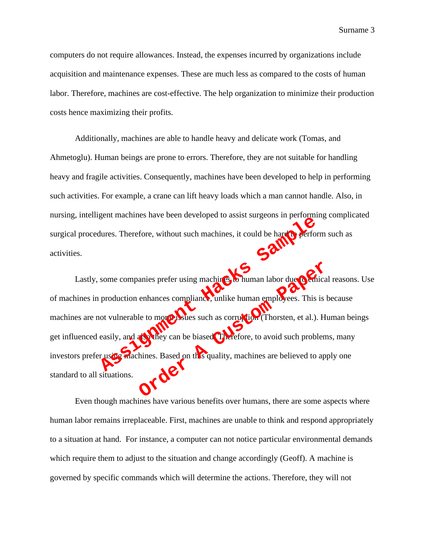computers do not require allowances. Instead, the expenses incurred by organizations include acquisition and maintenance expenses. These are much less as compared to the costs of human labor. Therefore, machines are cost-effective. The help organization to minimize their production costs hence maximizing their profits.

Additionally, machines are able to handle heavy and delicate work (Tomas, and Ahmetoglu). Human beings are prone to errors. Therefore, they are not suitable for handling heavy and fragile activities. Consequently, machines have been developed to help in performing such activities. For example, a crane can lift heavy loads which a man cannot handle. Also, in nursing, intelligent machines have been developed to assist surgeons in performing complicated surgical procedures. Therefore, without such machines, it could be hard  $\alpha$  perform such as activities.

Lastly, some companies prefer using machines. To human labor due to emical reasons. Use of machines in production enhances compliance, unlike human employees. This is because machines are not vulnerable to morphismes such as corruption (Thorsten, et al.). Human beings get influenced easily, and also they can be biased. Therefore, to avoid such problems, many investors prefer using machines. Based on this quality, machines are believed to apply one standard to all situations. Final Material School and Material School and Material School and Testion<br>and Contract School and Material School and Testion<br>production enhances compliance, unlike human employees. This<br>introduction enhances compliance, u anies prefer using machines. This is human labor due of Chica<br>enhances compliance, unlike human employees. This is let<br>be to more postles such as corruption (Thorsten, et al.). Human employees. This is let<br>be to more postl

Even though machines have various benefits over humans, there are some aspects where human labor remains irreplaceable. First, machines are unable to think and respond appropriately to a situation at hand. For instance, a computer can not notice particular environmental demands which require them to adjust to the situation and change accordingly (Geoff). A machine is governed by specific commands which will determine the actions. Therefore, they will not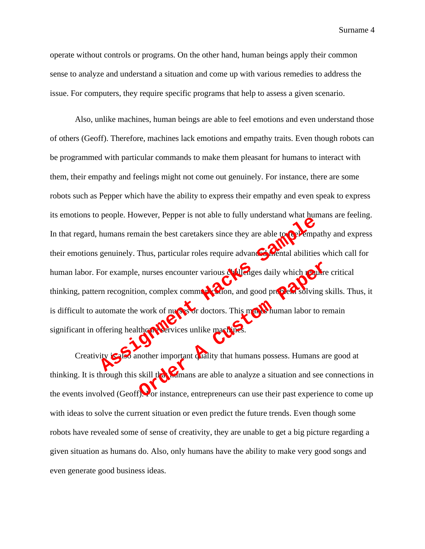operate without controls or programs. On the other hand, human beings apply their common sense to analyze and understand a situation and come up with various remedies to address the issue. For computers, they require specific programs that help to assess a given scenario.

Also, unlike machines, human beings are able to feel emotions and even understand those of others (Geoff). Therefore, machines lack emotions and empathy traits. Even though robots can be programmed with particular commands to make them pleasant for humans to interact with them, their empathy and feelings might not come out genuinely. For instance, there are some robots such as Pepper which have the ability to express their empathy and even speak to express its emotions to people. However, Pepper is not able to fully understand what humans are feeling. In that regard, humans remain the best caretakers since they are able to **feel empathy** and express their emotions genuinely. Thus, particular roles require advanced mental abilities which call for human labor. For example, nurses encounter various challenges daily which require critical thinking, pattern recognition, complex communication, and good problem solving skills. Thus, it is difficult to automate the work of nurses or doctors. This makes human labor to remain significant in offering healthcare services unlike machines. Hacks Street Mathematic Control of the total technique and the total technique divine technique and the total technique of the total technique of the total divisions of the total division of the total division of the total on, complex communication, and good properts solving s<br>work of numerical doctors. This method of solving s<br>work of numerical doctors. This method is a method of the solving s<br>work of numerical doctors. This method is a sit

Creativity is another important quality that humans possess. Humans are good at thinking. It is through this skill the humans are able to analyze a situation and see connections in the events involved (Geoff). For instance, entrepreneurs can use their past experience to come up with ideas to solve the current situation or even predict the future trends. Even though some robots have revealed some of sense of creativity, they are unable to get a big picture regarding a given situation as humans do. Also, only humans have the ability to make very good songs and even generate good business ideas.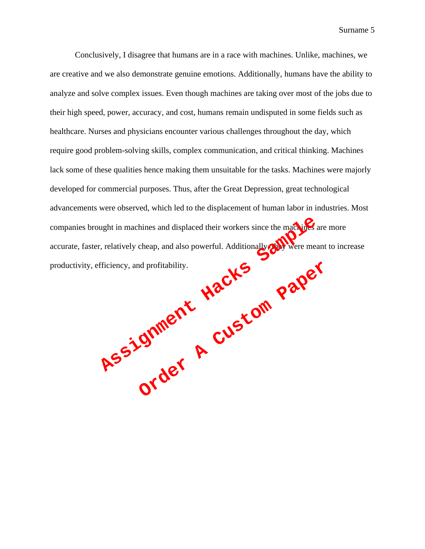Conclusively, I disagree that humans are in a race with machines. Unlike, machines, we are creative and we also demonstrate genuine emotions. Additionally, humans have the ability to analyze and solve complex issues. Even though machines are taking over most of the jobs due to their high speed, power, accuracy, and cost, humans remain undisputed in some fields such as healthcare. Nurses and physicians encounter various challenges throughout the day, which require good problem-solving skills, complex communication, and critical thinking. Machines lack some of these qualities hence making them unsuitable for the tasks. Machines were majorly developed for commercial purposes. Thus, after the Great Depression, great technological advancements were observed, which led to the displacement of human labor in industries. Most companies brought in machines and displaced their workers since the machines are more accurate, faster, relatively cheap, and also powerful. Additionally, were meant to increase companies brought in machines and displaced their workers since the margin of accurate, faster, relatively cheap, and also powerful. Additionally surface measurement productivity, efficiency, and profitability. order R Custom Paper